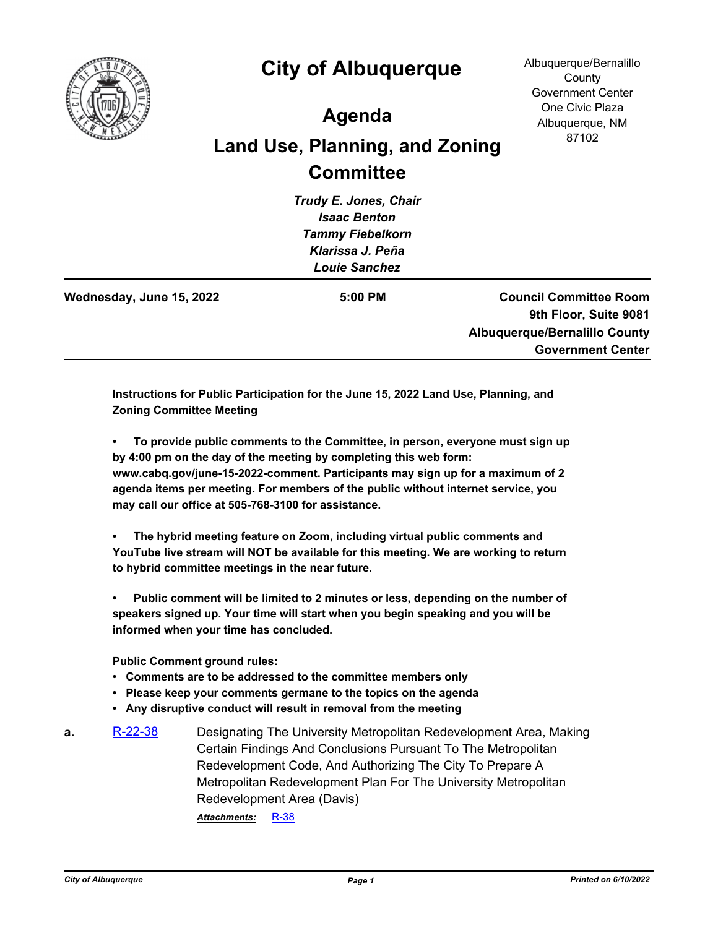

## **City of Albuquerque**

Albuquerque/Bernalillo **County** Government Center One Civic Plaza Albuquerque, NM 87102

## **Agenda**

## **Land Use, Planning, and Zoning Committee**

*Trudy E. Jones, Chair Isaac Benton Tammy Fiebelkorn Klarissa J. Peña Louie Sanchez*

**Wednesday, June 15, 2022 5:00 PM**

**Council Committee Room 9th Floor, Suite 9081 Albuquerque/Bernalillo County Government Center**

**Instructions for Public Participation for the June 15, 2022 Land Use, Planning, and Zoning Committee Meeting**

**• To provide public comments to the Committee, in person, everyone must sign up by 4:00 pm on the day of the meeting by completing this web form: www.cabq.gov/june-15-2022-comment. Participants may sign up for a maximum of 2 agenda items per meeting. For members of the public without internet service, you may call our office at 505-768-3100 for assistance.**

**• The hybrid meeting feature on Zoom, including virtual public comments and YouTube live stream will NOT be available for this meeting. We are working to return to hybrid committee meetings in the near future.**

**• Public comment will be limited to 2 minutes or less, depending on the number of speakers signed up. Your time will start when you begin speaking and you will be informed when your time has concluded.**

**Public Comment ground rules:**

- **Comments are to be addressed to the committee members only**
- **Please keep your comments germane to the topics on the agenda**
- **Any disruptive conduct will result in removal from the meeting**
- **a.** [R-22-38](http://cabq.legistar.com/gateway.aspx?m=l&id=/matter.aspx?key=12937) Designating The University Metropolitan Redevelopment Area, Making Certain Findings And Conclusions Pursuant To The Metropolitan Redevelopment Code, And Authorizing The City To Prepare A Metropolitan Redevelopment Plan For The University Metropolitan Redevelopment Area (Davis) *Attachments:* [R-38](http://cabq.legistar.com/gateway.aspx?M=F&ID=05ca2439-42c1-497e-b8e4-74189dfb2043.pdf)